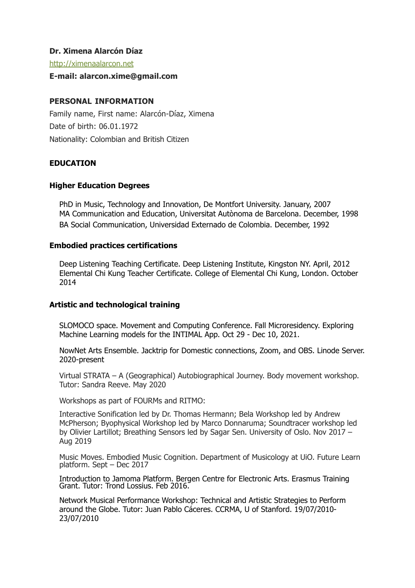#### **Dr. Ximena Alarcón Díaz**

[http://ximenaalarcon.net](http://ximenaalarcon.net/)

#### **E-mail: alarcon.xime@gmail.com**

### **PERSONAL INFORMATION**

Family name, First name: Alarcón-Díaz, Ximena Date of birth: 06.01.1972 Nationality: Colombian and British Citizen

### **EDUCATION**

#### **Higher Education Degrees**

PhD in Music, Technology and Innovation, De Montfort University. January, 2007 MA Communication and Education, Universitat Autònoma de Barcelona. December, 1998 BA Social Communication, Universidad Externado de Colombia. December, 1992

#### **Embodied practices certifications**

Deep Listening Teaching Certificate. Deep Listening Institute, Kingston NY. April, 2012 Elemental Chi Kung Teacher Certificate. College of Elemental Chi Kung, London. October 2014

#### **Artistic and technological training**

SLOMOCO space. Movement and Computing Conference. Fall Microresidency. Exploring Machine Learning models for the INTIMAL App. Oct 29 - Dec 10, 2021.

NowNet Arts Ensemble. Jacktrip for Domestic connections, Zoom, and OBS. Linode Server. 2020-present

Virtual STRATA – A (Geographical) Autobiographical Journey. Body movement workshop. Tutor: Sandra Reeve. May 2020

Workshops as part of FOURMs and RITMO:

Interactive Sonification led by Dr. Thomas Hermann; Bela Workshop led by Andrew McPherson; Byophysical Workshop led by Marco Donnaruma; Soundtracer workshop led by Olivier Lartillot; Breathing Sensors led by Sagar Sen. University of Oslo. Nov 2017 – Aug 2019

Music Moves. Embodied Music Cognition. Department of Musicology at UiO. Future Learn platform. Sept – Dec 2017

Introduction to Jamoma Platform. Bergen Centre for Electronic Arts. Erasmus Training Grant. Tutor: Trond Lossius. Feb 2016.

Network Musical Performance Workshop: Technical and Artistic Strategies to Perform around the Globe. Tutor: Juan Pablo Cáceres. CCRMA, U of Stanford. 19/07/2010- 23/07/2010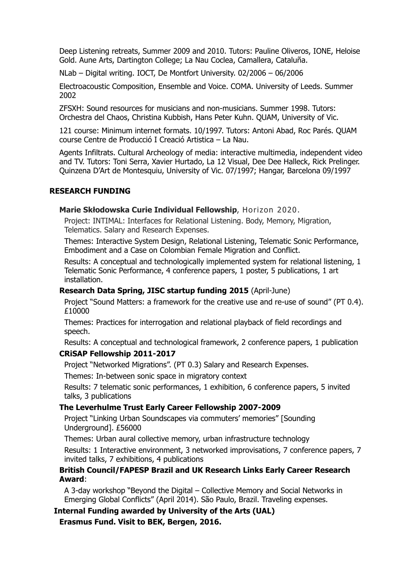Deep Listening retreats, Summer 2009 and 2010. Tutors: Pauline Oliveros, IONE, Heloise Gold. Aune Arts, Dartington College; La Nau Coclea, Camallera, Cataluña.

NLab – Digital writing. IOCT, De Montfort University. 02/2006 – 06/2006

Electroacoustic Composition, Ensemble and Voice. COMA. University of Leeds. Summer 2002

ZFSXH: Sound resources for musicians and non-musicians. Summer 1998. Tutors: Orchestra del Chaos, Christina Kubbish, Hans Peter Kuhn. QUAM, University of Vic.

121 course: Minimum internet formats. 10/1997. Tutors: Antoni Abad, Roc Parés. QUAM course Centre de Producció I Creació Artistica – La Nau.

Agents Infiltrats. Cultural Archeology of media: interactive multimedia, independent video and TV. Tutors: Toni Serra, Xavier Hurtado, La 12 Visual, Dee Dee Halleck, Rick Prelinger. Quinzena D'Art de Montesquiu, University of Vic. 07/1997; Hangar, Barcelona 09/1997

#### **RESEARCH FUNDING**

#### **Marie Skłodowska Curie Individual Fellowship**, Horizon 2020.

Project: INTIMAL: Interfaces for Relational Listening. Body, Memory, Migration, Telematics. Salary and Research Expenses.

Themes: Interactive System Design, Relational Listening, Telematic Sonic Performance, Embodiment and a Case on Colombian Female Migration and Conflict.

Results: A conceptual and technologically implemented system for relational listening, 1 Telematic Sonic Performance, 4 conference papers, 1 poster, 5 publications, 1 art installation.

#### **Research Data Spring, JISC startup funding 2015** (April-June)

Project "Sound Matters: a framework for the creative use and re-use of sound" (PT 0.4). £10000

Themes: Practices for interrogation and relational playback of field recordings and speech.

Results: A conceptual and technological framework, 2 conference papers, 1 publication

#### **CRiSAP Fellowship 2011-2017**

Project "Networked Migrations". (PT 0.3) Salary and Research Expenses.

Themes: In-between sonic space in migratory context

Results: 7 telematic sonic performances, 1 exhibition, 6 conference papers, 5 invited talks, 3 publications

#### **The Leverhulme Trust Early Career Fellowship 2007-2009**

Project "Linking Urban Soundscapes via commuters' memories" [Sounding Underground]. £56000

Themes: Urban aural collective memory, urban infrastructure technology

Results: 1 Interactive environment, 3 networked improvisations, 7 conference papers, 7 invited talks, 7 exhibitions, 4 publications

### **British Council/FAPESP Brazil and UK Research Links Early Career Research Award**:

A 3-day workshop "Beyond the Digital – Collective Memory and Social Networks in Emerging Global Conflicts" (April 2014). São Paulo, Brazil. Traveling expenses.

# **Internal Funding awarded by University of the Arts (UAL)**

**Erasmus Fund. Visit to BEK, Bergen, 2016.**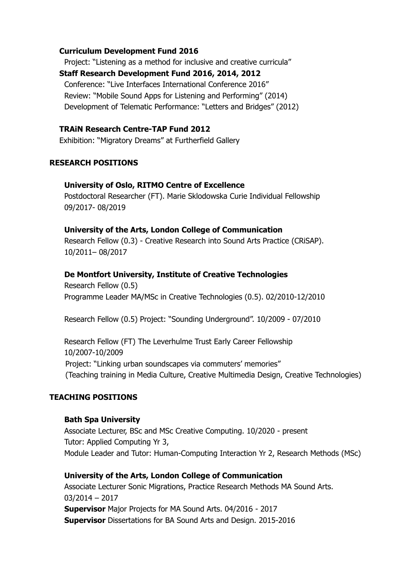#### **Curriculum Development Fund 2016**

Project: "Listening as a method for inclusive and creative curricula" **Staff Research Development Fund 2016, 2014, 2012**  Conference: "Live Interfaces International Conference 2016" Review: "Mobile Sound Apps for Listening and Performing" (2014) Development of Telematic Performance: "Letters and Bridges" (2012)

### **TRAiN Research Centre-TAP Fund 2012**

Exhibition: "Migratory Dreams" at Furtherfield Gallery

#### **RESEARCH POSITIONS**

#### **University of Oslo, RITMO Centre of Excellence**

Postdoctoral Researcher (FT). Marie Sklodowska Curie Individual Fellowship 09/2017- 08/2019

#### **University of the Arts, London College of Communication**

Research Fellow (0.3) - Creative Research into Sound Arts Practice (CRiSAP). 10/2011– 08/2017

#### **De Montfort University, Institute of Creative Technologies**

Research Fellow (0.5) Programme Leader MA/MSc in Creative Technologies (0.5). 02/2010-12/2010

Research Fellow (0.5) Project: "Sounding Underground". 10/2009 - 07/2010

Research Fellow (FT) The Leverhulme Trust Early Career Fellowship 10/2007-10/2009 Project: "Linking urban soundscapes via commuters' memories" (Teaching training in Media Culture, Creative Multimedia Design, Creative Technologies)

#### **TEACHING POSITIONS**

#### **Bath Spa University**

Associate Lecturer, BSc and MSc Creative Computing. 10/2020 - present Tutor: Applied Computing Yr 3, Module Leader and Tutor: Human-Computing Interaction Yr 2, Research Methods (MSc)

#### **University of the Arts, London College of Communication**

Associate Lecturer Sonic Migrations, Practice Research Methods MA Sound Arts. 03/2014 – 2017 **Supervisor** Major Projects for MA Sound Arts. 04/2016 - 2017 **Supervisor** Dissertations for BA Sound Arts and Design. 2015-2016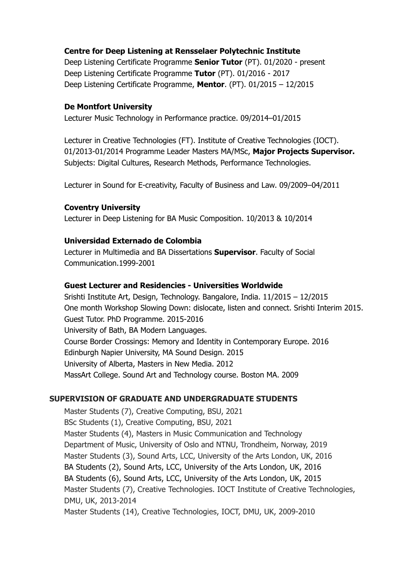### **Centre for Deep Listening at Rensselaer Polytechnic Institute**

Deep Listening Certificate Programme **Senior Tutor** (PT). 01/2020 - present Deep Listening Certificate Programme **Tutor** (PT). 01/2016 - 2017 Deep Listening Certificate Programme, **Mentor**. (PT). 01/2015 – 12/2015

### **De Montfort University**

Lecturer Music Technology in Performance practice. 09/2014–01/2015

Lecturer in Creative Technologies (FT). Institute of Creative Technologies (IOCT). 01/2013-01/2014 Programme Leader Masters MA/MSc, **Major Projects Supervisor.** Subjects: Digital Cultures, Research Methods, Performance Technologies.

Lecturer in Sound for E-creativity, Faculty of Business and Law. 09/2009–04/2011

### **Coventry University**

Lecturer in Deep Listening for BA Music Composition. 10/2013 & 10/2014

### **Universidad Externado de Colombia**

Lecturer in Multimedia and BA Dissertations **Supervisor**. Faculty of Social Communication.1999-2001

### **Guest Lecturer and Residencies - Universities Worldwide**

Srishti Institute Art, Design, Technology. Bangalore, India. 11/2015 – 12/2015 One month Workshop Slowing Down: dislocate, listen and connect. Srishti Interim 2015. Guest Tutor. PhD Programme. 2015-2016 University of Bath, BA Modern Languages. Course Border Crossings: Memory and Identity in Contemporary Europe. 2016 Edinburgh Napier University, MA Sound Design. 2015 University of Alberta, Masters in New Media. 2012 MassArt College. Sound Art and Technology course. Boston MA. 2009

### **SUPERVISION OF GRADUATE AND UNDERGRADUATE STUDENTS**

Master Students (7), Creative Computing, BSU, 2021 BSc Students (1), Creative Computing, BSU, 2021 Master Students (4), Masters in Music Communication and Technology Department of Music, University of Oslo and NTNU, Trondheim, Norway, 2019 Master Students (3), Sound Arts, LCC, University of the Arts London, UK, 2016 BA Students (2), Sound Arts, LCC, University of the Arts London, UK, 2016 BA Students (6), Sound Arts, LCC, University of the Arts London, UK, 2015 Master Students (7), Creative Technologies. IOCT Institute of Creative Technologies, DMU, UK, 2013-2014 Master Students (14), Creative Technologies, IOCT, DMU, UK, 2009-2010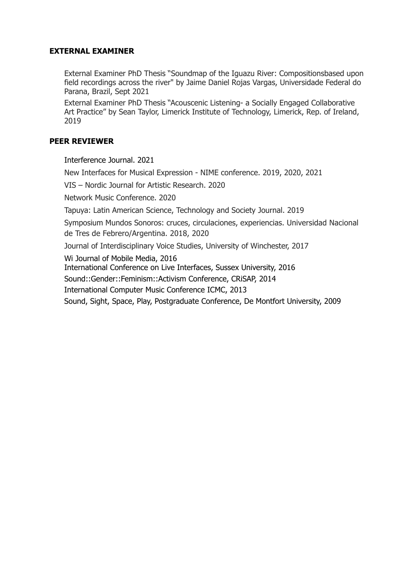### **EXTERNAL EXAMINER**

External Examiner PhD Thesis "Soundmap of the Iguazu River: Compositionsbased upon field recordings across the river" by Jaime Daniel Rojas Vargas, Universidade Federal do Parana, Brazil, Sept 2021

External Examiner PhD Thesis "Acouscenic Listening- a Socially Engaged Collaborative Art Practice" by Sean Taylor, Limerick Institute of Technology, Limerick, Rep. of Ireland, 2019

### **PEER REVIEWER**

Interference Journal. 2021

New Interfaces for Musical Expression - NIME conference. 2019, 2020, 2021

VIS – Nordic Journal for Artistic Research. 2020

Network Music Conference. 2020

Tapuya: Latin American Science, Technology and Society Journal. 2019

Symposium Mundos Sonoros: cruces, circulaciones, experiencias. Universidad Nacional de Tres de Febrero/Argentina. 2018, 2020

Journal of Interdisciplinary Voice Studies, University of Winchester, 2017

Wi Journal of Mobile Media, 2016

International Conference on Live Interfaces, Sussex University, 2016

Sound::Gender::Feminism::Activism Conference, CRiSAP, 2014

International Computer Music Conference ICMC, 2013

Sound, Sight, Space, Play, Postgraduate Conference, De Montfort University, 2009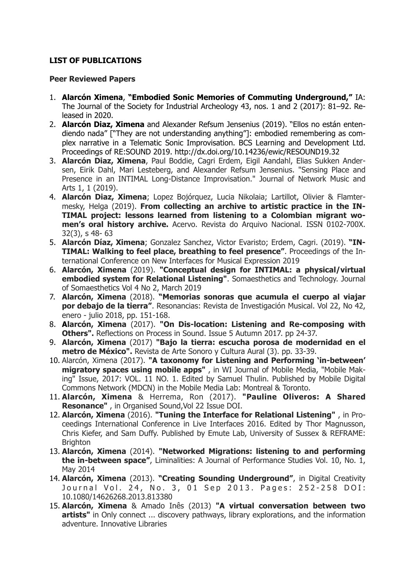### **LIST OF PUBLICATIONS**

#### **Peer Reviewed Papers**

- 1. **Alarcón Ximena**, **"Embodied Sonic Memories of Commuting Underground,"** IA: The Journal of the Society for Industrial Archeology 43, nos. 1 and 2 (2017): 81–92. Released in 2020.
- 2. **Alarcón Diaz, Ximena** and Alexander Refsum Jensenius (2019). ["Ellos no están enten](https://www.scienceopen.com/document?vid=562880ea-1ba4-4110-b85a-1bdd05097a4a)[diendo nada" \["They are not understanding anything"\]: embodied remembering as com](https://www.scienceopen.com/document?vid=562880ea-1ba4-4110-b85a-1bdd05097a4a)[plex narrative in a Telematic Sonic Improvisation.](https://www.scienceopen.com/document?vid=562880ea-1ba4-4110-b85a-1bdd05097a4a) BCS Learning and Development Ltd. Proceedings of RE:SOUND 2019. <http://dx.doi.org/10.14236/ewic/RESOUND19.32>
- 3. **Alarcón Diaz, Ximena**, Paul Boddie, Cagri Erdem, Eigil Aandahl, Elias Sukken Andersen, Eirik Dahl, Mari Lesteberg, and Alexander Refsum Jensenius. ["Sensing Place and](https://commons.library.stonybrook.edu/jonma/vol1/iss1/3/) [Presence in an INTIMAL Long-Distance Improvisation."](https://commons.library.stonybrook.edu/jonma/vol1/iss1/3/) Journal of Network Music and Arts 1, 1 (2019).
- 4. **Alarcón Diaz, Ximena**; Lopez Bojórquez, Lucia Nikolaia; Lartillot, Olivier & Flamtermesky, Helga (2019). **[From collecting an archive to artistic practice in the IN](http://revistaacervo.an.gov.br/index.php/revistaacervo/issue/view/59)-[TIMAL project: lessons learned from listening to a Colombian migrant wo](http://revistaacervo.an.gov.br/index.php/revistaacervo/issue/view/59)[men's oral history archive.](http://revistaacervo.an.gov.br/index.php/revistaacervo/issue/view/59)** Acervo. Revista do Arquivo Nacional. ISSN 0102-700X. 32(3), s 48- 63
- 5. **Alarcón Díaz, Ximena**; Gonzalez Sanchez, Victor Evaristo; Erdem, Cagri. (2019). **["IN](https://www.duo.uio.no/handle/10852/68786)-[TIMAL: Walking to feel place, breathing to feel presence"](https://www.duo.uio.no/handle/10852/68786)**. Proceedings of the International Conference on New Interfaces for Musical Expression 2019
- 6. **Alarcón, Ximena** (2019). **["Conceptual design for INTIMAL: a physical/virtual](https://somaesthetics.aau.dk/index.php/JOS/article/view/2393) [embodied system for Relational Listening"](https://somaesthetics.aau.dk/index.php/JOS/article/view/2393)**. Somaesthetics and Technology. Journal of Somaesthetics Vol 4 No 2, March 2019
- 7. **Alarcón, Ximena** (2018). **["Memorias sonoras que acumula el cuerpo al viajar](http://resonancias.uc.cl/es/N%25C2%25BA-42/memorias-sonoras-que-acumula-el-cuerpo-al-viajar-por-debajo-de-la-tierra.html) [por debajo de la tierra"](http://resonancias.uc.cl/es/N%25C2%25BA-42/memorias-sonoras-que-acumula-el-cuerpo-al-viajar-por-debajo-de-la-tierra.html)**. Resonancias: Revista de Investigación Musical. Vol 22, No 42, enero - julio 2018, pp. 151-168.
- 8. **Alarcón, Ximena** (2017). **["On Dis-location: Listening and Re-composing with](http://www.reflections-on-process-in-sound.net/issue-5/) [Others"](http://www.reflections-on-process-in-sound.net/issue-5/).** Reflections on Process in Sound. Issue 5 Autumn 2017. pp 24-37.
- 9. **Alarcón, Ximena** (2017) **["Bajo la tierra: escucha porosa de modernidad en el](http://ualresearchonline.arts.ac.uk/11667/) [metro de México"](http://ualresearchonline.arts.ac.uk/11667/).** [Revista de Arte Sonoro y Cultura Aural](http://www.tsonami.cl/tienda/revista-aural-no3-antropologias-de-la-escucha/) (3). pp. 33-39.
- 10. Alarcón, Ximena (2017). **["A taxonomy for Listening and Performing 'in-between'](http://wi.mobilities.ca/a-taxonomy-for-listening-and-performing-in-between-migratory-spaces-using-mobile-apps/)  [migratory spaces using mobile apps"](http://wi.mobilities.ca/a-taxonomy-for-listening-and-performing-in-between-migratory-spaces-using-mobile-apps/)** , in WI Journal of Mobile Media, ["Mobile Mak](http://wi.mobilities.ca/)[ing" Issue, 2017: VOL. 11 NO. 1.](http://wi.mobilities.ca/) Edited by Samuel Thulin. Published by Mobile Digital Commons Network (MDCN) in the Mobile Media Lab: Montreal & Toronto.
- 11. **Alarcón, Ximena** & Herrema, Ron (2017). **["Pauline Oliveros: A Shared](https://www.cambridge.org/core/services/aop-cambridge-core/content/view/9877CB61DFCEFF77EABFA351AB6DACB6/S1355771817000036a.pdf/pauline_oliveros_a_shared_resonance.pdf) [Resonance"](https://www.cambridge.org/core/services/aop-cambridge-core/content/view/9877CB61DFCEFF77EABFA351AB6DACB6/S1355771817000036a.pdf/pauline_oliveros_a_shared_resonance.pdf)** , in Organised Sound,Vol 22 Issue [DOI](https://doi.org/10.1017/S1355771817000036).
- 12. **Alarcón, Ximena** (2016). **["Tuning the Interface for Relational Listening"](http://www.liveinterfaces.org/proceedings2016.html)** , in Proceedings International Conference in Live Interfaces 2016. Edited by Thor Magnusson, Chris Kiefer, and Sam Duffy. Published by Emute Lab, University of Sussex & REFRAME: **Brighton**
- 13. **Alarcón, Ximena** (2014). **["Networked Migrations: listening to and performing](http://liminalities.net/10-1/networked-migrations.html) [the in-between space"](http://liminalities.net/10-1/networked-migrations.html)**, Liminalities: A Journal of Performance Studies Vol. 10, No. 1, May 2014
- 14. **Alarcón, Ximena** (2013). **["Creating Sounding Underground"](https://www.academia.edu/5086034/Creating_Sounding_Underground)**, in Digital Creativity Journal Vol. 24, No. 3, 01 Sep 2013. Pages: 252-258 DOI: 10.1080/14626268.2013.813380
- 15. **Alarcón, Ximena** & Amado Inês (2013) **["A virtual conversation between two](http://innovativelibraries.org.uk/index.php/onlyconnect/virtual-conversation-between-two-artists/) [artists"](http://innovativelibraries.org.uk/index.php/onlyconnect/virtual-conversation-between-two-artists/)** in Only connect ... discovery pathways, library explorations, and the information adventure. Innovative Libraries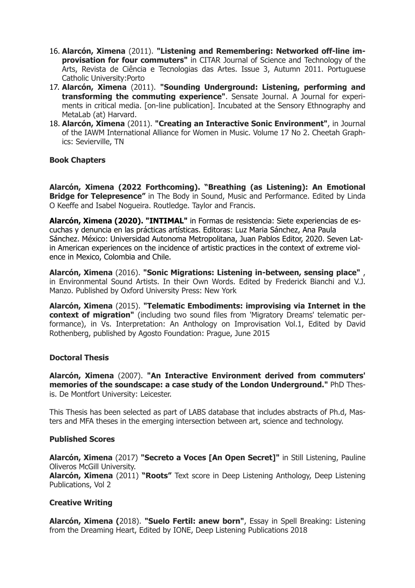- 16. **Alarcón, Ximena** (2011). **["Listening and Remembering: Networked off-line im](http://artes.ucp.pt/citarj/article/view/27)[provisation for four commuters"](http://artes.ucp.pt/citarj/article/view/27)** in CITAR Journal of Science and Technology of the Arts, Revista de Ciência e Tecnologias das Artes. Issue 3, Autumn 2011. Portuguese Catholic University:Porto
- 17. **Alarcón, Ximena** (2011). **["Sounding Underground: Listening, performing and](http://sensatejournal.com/ximena-alarcon-sounding-underground/) [transforming the commuting experience"](http://sensatejournal.com/ximena-alarcon-sounding-underground/)**. Sensate Journal. A Journal for experiments in critical media. [on-line publication]. Incubated at the Sensory Ethnography and MetaLab (at) Harvard.
- 18. **Alarcón, Ximena** (2011). **"Creating an Interactive Sonic Environment"**, in Journal of the IAWM International Alliance for Women in Music. Volume 17 No 2. Cheetah Graphics: Sevierville, TN

### **Book Chapters**

**Alarcón, Ximena (2022 Forthcoming). "Breathing (as Listening): An Emotional Bridge for Telepresence"** in The Body in Sound, Music and Performance. Edited by Linda O Keeffe and Isabel Nogueira. Routledge. Taylor and Francis.

**Alarcón, Ximena (2020). ["INTIMAL"](https://casadelibrosabiertos.uam.mx/gpd-formas-de-resistencia-siete-experiencias-de-escucha-y-denuncia-en-las-practicas-artisticas.html)** in Formas de resistencia: Siete experiencias de escuchas y denuncia en las prácticas artísticas. Editoras: Luz Maria Sánchez, Ana Paula Sánchez. México: Universidad Autonoma Metropolitana, Juan Pablos Editor, 2020. Seven Latin American experiences on the incidence of artistic practices in the context of extreme violence in Mexico, Colombia and Chile.

**Alarcón, Ximena** (2016). **["Sonic Migrations: Listening in-between, sensing place"](https://global.oup.com/academic/product/environmental-sound-artists-9780190234614?cc=gb&lang=en&)** , in Environmental Sound Artists. In their Own Words. Edited by Frederick Bianchi and V.J. Manzo. Published by Oxford University Press: New York

**Alarcón, Ximena** (2015). **["Telematic Embodiments: improvising via Internet in the](https://www.agosto-foundation.org/vs-interpretation-anthology-usb-compilation)  [context of migration"](https://www.agosto-foundation.org/vs-interpretation-anthology-usb-compilation)** (including two sound files from 'Migratory Dreams' telematic performance), in Vs. Interpretation: An Anthology on Improvisation Vol.1, Edited by David Rothenberg, published by Agosto Foundation: Prague, June 2015

#### **Doctoral Thesis**

**Alarcón, Ximena** (2007). **["An Interactive Environment derived from commuters'](https://www.dora.dmu.ac.uk/handle/2086/3216)  [memories of the soundscape: a case study of the London Underground."](https://www.dora.dmu.ac.uk/handle/2086/3216)** PhD Thesis. De Montfort University: Leicester.

This Thesis has been selected as part of [LABS database](http://collections.pomona.edu/labs/record/?pdb=3738) that includes abstracts of Ph.d, Masters and MFA theses in the emerging intersection between art, science and technology.

#### **Published Scores**

**Alarcón, Ximena** (2017) **["Secreto a Voces \[An Open Secret\]"](http://stilllisteningoliveros.com/secreto-voces-open-secret/)** in [Still Listening, Pauline](http://stilllisteningoliveros.com/secreto-voces-open-secret/) [Oliveros](http://stilllisteningoliveros.com/secreto-voces-open-secret/) McGill University.

**Alarcón, Ximena** (2011) **["Roots"](https://www.amazon.com/Deep-Listening-Anthology-Community-Listeners/dp/1889471178)** Text score in [Deep Listening Anthology,](http://deeplistening.org/site/content/bylabel) Deep Listening Publications, Vol 2

#### **Creative Writing**

**Alarcón, Ximena (**2018). **["Suelo Fertil: anew born"](https://www.amazon.co.uk/Spell-Breaking-Listening-Dreaming-Heart-ebook/dp/B076132FQL)**, Essay in [Spell Breaking: Listening](http://deeplistening.org/site/content/spell-breaking-remembered-ways-being-anthology-womens-mysteries) [from the Dreaming Heart,](http://deeplistening.org/site/content/spell-breaking-remembered-ways-being-anthology-womens-mysteries) Edited by IONE, Deep Listening Publications 2018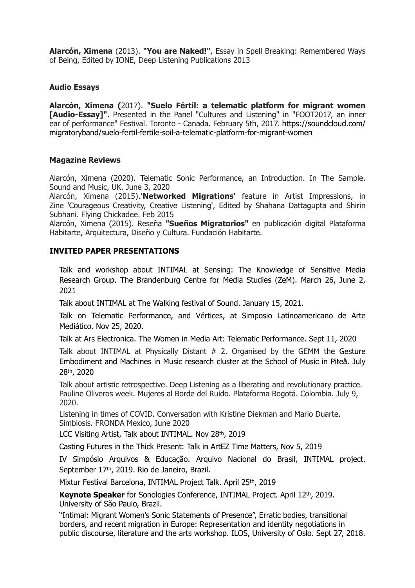**Alarcón, Ximena** (2013). **["You are Naked!"](https://www.amazon.co.uk/Spell-Breaking-Remembered-Ways-Being/dp/1889471232)**, Essay in [Spell Breaking: Remembered Ways](http://deeplistening.org/site/content/spell-breaking-remembered-ways-being-anthology-womens-mysteries) [of Being,](http://deeplistening.org/site/content/spell-breaking-remembered-ways-being-anthology-womens-mysteries) Edited by IONE, Deep Listening Publications 2013

### **Audio Essays**

**Alarcón, Ximena (**2017). **["Suelo Fértil: a telematic platform for migrant women](https://suelofertilcollective.wordpress.com/2017/02/17/suelo-fertil-audio-essay-in-foot-2017/) [\[Audio-Essay\]".](https://suelofertilcollective.wordpress.com/2017/02/17/suelo-fertil-audio-essay-in-foot-2017/)** Presented in the Panel "Cultures and Listening" in "FOOT2017, an inner [ear of performance" Festival. Toronto - Canada. February 5th, 2017. https://soundcloud.com/](https://soundcloud.com/migratoryband/suelo-fertil-fertile-soil-a-telematic-platform-for-migrant-women) [migratoryband/suelo-fertil-fertile-soil-a-telematic-platform-for-migrant-women](https://soundcloud.com/migratoryband/suelo-fertil-fertile-soil-a-telematic-platform-for-migrant-women)

#### **Magazine Reviews**

Alarcón, Ximena (2020). Telematic Sonic Performance, an Introduction. In The Sample. Sound and Music, UK. June 3, 2020

Alarcón, Ximena (2015).**['Networked Migrations'](http://www.flyingchickadee.com/Microzines/Courageous%2520Creativity%2520February2015.pdf)** feature in Artist Impressions, in Zine ['Courageous Creativity, Creative Listening'](http://www.flyingchickadee.com/Microzines/Courageous%2520Creativity%2520February2015.pdf), Edited by Shahana Dattagupta and Shirin Subhani. Flying Chickadee. Feb 2015

Alarcón, Ximena (2015). Reseña **"Sueños Migratorios"** en publicación digital [Plataforma](http://www.plataformahabitarte.com/index.php/cultura/cultura-sonora/175-suenos-migratorios) [Habitarte, Arquitectura, Diseño y Cultura](http://www.plataformahabitarte.com/index.php/cultura/cultura-sonora/175-suenos-migratorios). Fundación Habitarte.

#### **INVITED PAPER PRESENTATIONS**

Talk and workshop about INTIMAL at Sensing: The Knowledge of Sensitive Media Research Group. The Brandenburg Centre for Media Studies (ZeM). March 26, June 2, 2021

Talk about INTIMAL at The Walking festival of Sound. January 15, 2021.

Talk on Telematic Performance, and Vértices, at Simposio Latinoamericano de Arte Mediático. Nov 25, 2020.

Talk at Ars Electronica. The Women in Media Art: Telematic Performance. Sept 11, 2020

Talk about INTIMAL at Physically Distant # 2. Organised by the GEMM the Gesture Embodiment and Machines in Music research cluster at the School of Music in Piteå. July 28th, 2020

Talk about artistic retrospective. Deep Listening as a liberating and revolutionary practice. Pauline Oliveros week. Mujeres al Borde del Ruido. Plataforma Bogotá. Colombia. July 9, 2020.

Listening in times of COVID. Conversation with Kristine Diekman and Mario Duarte. Simbiosis. FRONDA Mexico, June 2020

LCC Visiting Artist, Talk about INTIMAL. Nov 28th, 2019

Casting Futures in the Thick Present: Talk in ArtEZ Time Matters, Nov 5, 2019

IV Simpósio Arquivos & Educação. Arquivo Nacional do Brasil, INTIMAL project. September 17th, 2019. Rio de Janeiro, Brazil.

Mixtur Festival Barcelona, INTIMAL Project Talk. April 25th, 2019

**Keynote Speaker** for Sonologies Conference, INTIMAL Project. April 12th, 2019. University of São Paulo, Brazil.

"Intimal: Migrant Women's Sonic Statements of Presence", Erratic bodies, transitional borders, and recent migration in Europe: Representation and identity negotiations in public discourse, literature and the arts workshop. ILOS, University of Oslo. Sept 27, 2018.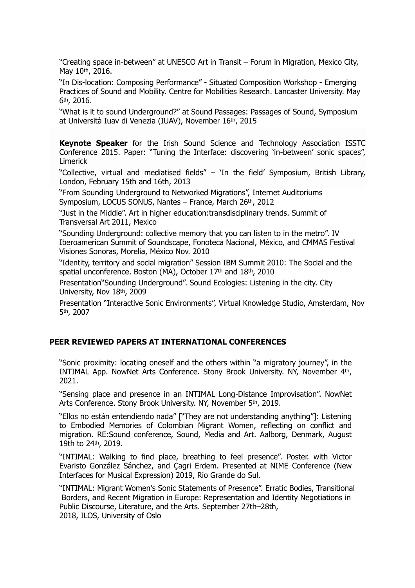"Creating space in-between" at UNESCO Art in Transit – Forum in Migration, Mexico City, May 10th, 2016.

"In Dis-location: Composing Performance" - Situated Composition Workshop - Emerging Practices of Sound and Mobility. Centre for Mobilities Research. Lancaster University. May 6th, 2016.

"What is it to sound Underground?" at Sound Passages: Passages of Sound, Symposium at Università Iuav di Venezia (IUAV), November 16th, 2015

**Keynote Speaker** for the Irish Sound Science and Technology Association ISSTC Conference 2015. Paper: "Tuning the Interface: discovering 'in-between' sonic spaces", Limerick

"Collective, virtual and mediatised fields" – 'In the field' Symposium, British Library, London, February 15th and 16th, 2013

"From Sounding Underground to Networked Migrations", Internet Auditoriums Symposium, LOCUS SONUS, Nantes - France, March 26th, 2012

"Just in the Middle". Art in higher education:transdisciplinary trends. Summit of Transversal Art 2011, Mexico

"Sounding Underground: collective memory that you can listen to in the metro". IV Iberoamerican Summit of Soundscape, Fonoteca Nacional, México, and CMMAS Festival Visiones Sonoras, Morelia, México Nov. 2010

"Identity, territory and social migration" Session IBM Summit 2010: The Social and the spatial unconference. Boston (MA), October 17th and 18th, 2010

Presentation"Sounding Underground". Sound Ecologies: Listening in the city. City University, Nov 18th, 2009

Presentation "Interactive Sonic Environments", Virtual Knowledge Studio, Amsterdam, Nov 5th, 2007

### **PEER REVIEWED PAPERS AT INTERNATIONAL CONFERENCES**

"Sonic proximity: locating oneself and the others within "a migratory journey", in the INTIMAL App. NowNet Arts Conference. Stony Brook University. NY, November 4th, 2021.

"Sensing place and presence in an INTIMAL Long-Distance Improvisation". NowNet Arts Conference. Stony Brook University. NY, November 5<sup>th</sup>, 2019.

"Ellos no están entendiendo nada" ["They are not understanding anything"]: Listening to Embodied Memories of Colombian Migrant Women, reflecting on conflict and migration. RE:Sound conference, Sound, Media and Art. Aalborg, Denmark, August 19th to 24th, 2019.

"INTIMAL: Walking to find place, breathing to feel presence". Poster. with Victor Evaristo González Sánchez, and Çagri Erdem. Presented at NIME Conference (New Interfaces for Musical Expression) 2019, Rio Grande do Sul.

"INTIMAL: Migrant Women's Sonic Statements of Presence". Erratic Bodies, Transitional Borders, and Recent Migration in Europe: Representation and Identity Negotiations in Public Discourse, Literature, and the Arts. September 27th–28th, 2018, ILOS, University of Oslo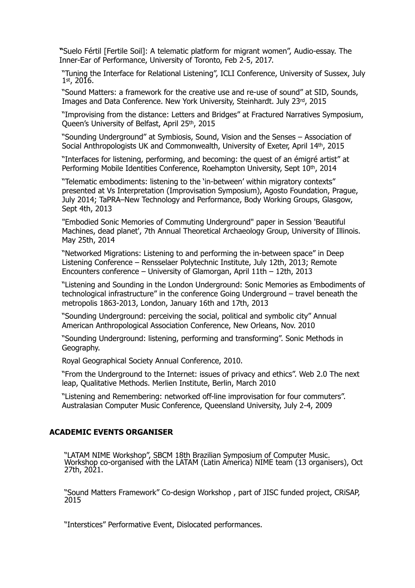**"**Suelo Fértil [Fertile Soil]: A telematic platform for migrant women", Audio-essay. The Inner-Ear of Performance, University of Toronto, Feb 2-5, 2017.

"Tuning the Interface for Relational Listening", ICLI Conference, University of Sussex, July 1st, 2016.

"Sound Matters: a framework for the creative use and re-use of sound" at SID, Sounds, Images and Data Conference. New York University, Steinhardt. July 23rd, 2015

"Improvising from the distance: Letters and Bridges" at Fractured Narratives Symposium, Queen's University of Belfast, April 25th, 2015

"Sounding Underground" at Symbiosis, Sound, Vision and the Senses – Association of Social Anthropologists UK and Commonwealth, University of Exeter, April 14th, 2015

"Interfaces for listening, performing, and becoming: the quest of an émigré artist" at Performing Mobile Identities Conference, Roehampton University, Sept 10<sup>th</sup>, 2014

"Telematic embodiments: listening to the 'in-between' within migratory contexts" presented at Vs Interpretation (Improvisation Symposium), Agosto Foundation, Prague, July 2014; TaPRA–New Technology and Performance, Body Working Groups, Glasgow, Sept 4th, 2013

"Embodied Sonic Memories of Commuting Underground" paper in Session 'Beautiful Machines, dead planet', 7th Annual Theoretical Archaeology Group, University of Illinois. May 25th, 2014

"Networked Migrations: Listening to and performing the in-between space" in Deep Listening Conference – Rensselaer Polytechnic Institute, July 12th, 2013; Remote Encounters conference – University of Glamorgan, April 11th – 12th, 2013

"Listening and Sounding in the London Underground: Sonic Memories as Embodiments of technological infrastructure" in the conference Going Underground – travel beneath the metropolis 1863-2013, London, January 16th and 17th, 2013

"Sounding Underground: perceiving the social, political and symbolic city" Annual American Anthropological Association Conference, New Orleans, Nov. 2010

"Sounding Underground: listening, performing and transforming". Sonic Methods in Geography.

Royal Geographical Society Annual Conference, 2010.

"From the Underground to the Internet: issues of privacy and ethics". Web 2.0 The next leap, Qualitative Methods. Merlien Institute, Berlin, March 2010

"Listening and Remembering: networked off-line improvisation for four commuters". Australasian Computer Music Conference, Queensland University, July 2-4, 2009

#### **ACADEMIC EVENTS ORGANISER**

"LATAM NIME Workshop", SBCM 18th Brazilian Symposium of Computer Music. Workshop co-organised with the LATAM (Latin America) NIME team (13 organisers), Oct 27th, 2021.

"Sound Matters Framework" Co-design Workshop , part of JISC funded project, CRiSAP, 2015

"Interstices" Performative Event, Dislocated performances.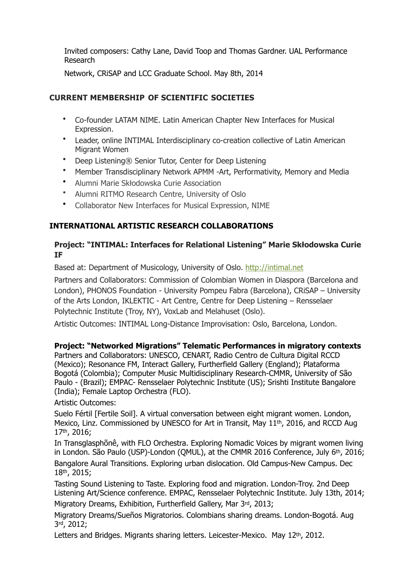Invited composers: Cathy Lane, David Toop and Thomas Gardner. UAL Performance Research

Network, CRiSAP and LCC Graduate School. May 8th, 2014

### **CURRENT MEMBERSHIP OF SCIENTIFIC SOCIETIES**

- Co-founder LATAM NIME. Latin American Chapter New Interfaces for Musical Expression.
- Leader, online INTIMAL Interdisciplinary co-creation collective of Latin American Migrant Women
- Deep Listening® Senior Tutor, Center for Deep Listening
- Member Transdisciplinary Network APMM -Art, Performativity, Memory and Media
- Alumni Marie Skłodowska Curie Association
- Alumni RITMO Research Centre, University of Oslo
- Collaborator New Interfaces for Musical Expression, NIME

### **INTERNATIONAL ARTISTIC RESEARCH COLLABORATIONS**

### **Project: "INTIMAL: Interfaces for Relational Listening" Marie Skłodowska Curie IF**

Based at: Department of Musicology, University of Oslo. [http://intimal.net](http://intimal.net/)

Partners and Collaborators: Commission of Colombian Women in Diaspora (Barcelona and London), PHONOS Foundation - University Pompeu Fabra (Barcelona), CRiSAP – University of the Arts London, IKLEKTIC - Art Centre, Centre for Deep Listening – Rensselaer Polytechnic Institute (Troy, NY), VoxLab and Melahuset (Oslo).

Artistic Outcomes: INTIMAL Long-Distance Improvisation: Oslo, Barcelona, London.

### **Project: "Networked Migrations" Telematic Performances in migratory contexts**

Partners and Collaborators: UNESCO, CENART, Radio Centro de Cultura Digital RCCD (Mexico); Resonance FM, Interact Gallery, Furtherfield Gallery (England); Plataforma Bogotá (Colombia); Computer Music Multidisciplinary Research-CMMR, University of São Paulo - (Brazil); EMPAC- Rensselaer Polytechnic Institute (US); Srishti Institute Bangalore (India); Female Laptop Orchestra (FLO).

Artistic Outcomes:

Suelo Fértil [Fertile Soil]. A virtual conversation between eight migrant women. London, Mexico, Linz. Commissioned by UNESCO for Art in Transit, May 11th, 2016, and RCCD Aug 17th, 2016;

In Transglasphõnê, with FLO Orchestra. Exploring Nomadic Voices by migrant women living in London. São Paulo (USP)-London (QMUL), at the CMMR 2016 Conference, July 6th, 2016;

Bangalore Aural Transitions. Exploring urban dislocation. Old Campus-New Campus. Dec 18th, 2015;

Tasting Sound Listening to Taste. Exploring food and migration. London-Troy. 2nd Deep Listening Art/Science conference. EMPAC, Rensselaer Polytechnic Institute. July 13th, 2014; Migratory Dreams, Exhibition, Furtherfield Gallery, Mar 3rd, 2013;

Migratory Dreams/Sueños Migratorios. Colombians sharing dreams. London-Bogotá. Aug 3rd, 2012;

Letters and Bridges. Migrants sharing letters. Leicester-Mexico. May 12<sup>th</sup>, 2012.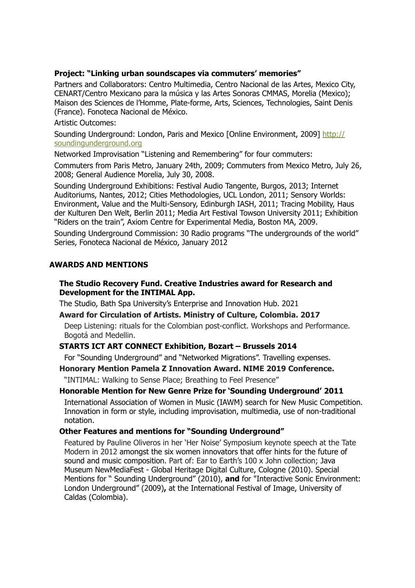### **Project: "Linking urban soundscapes via commuters' memories"**

Partners and Collaborators: Centro Multimedia, Centro Nacional de las Artes, Mexico City, CENART/Centro Mexicano para la música y las Artes Sonoras CMMAS, Morelia (Mexico); Maison des Sciences de l'Homme, Plate-forme, Arts, Sciences, Technologies, Saint Denis (France). Fonoteca Nacional de México.

Artistic Outcomes:

Sounding Underground: London, Paris and Mexico [Online Environment, 2009] [http://](http://soundingunderground.org/) [soundingunderground.org](http://soundingunderground.org/)

Networked Improvisation "Listening and Remembering" for four commuters:

Commuters from Paris Metro, January 24th, 2009; Commuters from Mexico Metro, July 26, 2008; General Audience Morelia, July 30, 2008.

Sounding Underground Exhibitions: Festival Audio Tangente, Burgos, 2013; Internet Auditoriums, Nantes, 2012; Cities Methodologies, UCL London, 2011; Sensory Worlds: Environment, Value and the Multi-Sensory, Edinburgh IASH, 2011; Tracing Mobility, Haus der Kulturen Den Welt, Berlin 2011; Media Art Festival Towson University 2011; Exhibition "Riders on the train", Axiom Centre for Experimental Media, Boston MA, 2009.

Sounding Underground Commission: 30 Radio programs "The undergrounds of the world" Series, Fonoteca Nacional de México, January 2012

### **AWARDS AND MENTIONS**

### **The Studio Recovery Fund. Creative Industries award for Research and Development for the INTIMAL App.**

The Studio, Bath Spa University's Enterprise and Innovation Hub. 2021

#### **Award for Circulation of Artists. Ministry of Culture, Colombia. 2017**

Deep Listening: rituals for the Colombian post-conflict. Workshops and Performance. Bogotá and Medellin.

#### **STARTS ICT ART CONNECT Exhibition, Bozart – Brussels 2014**

For "Sounding Underground" and "Networked Migrations". Travelling expenses.

#### **Honorary Mention Pamela Z Innovation Award. NIME 2019 Conference.**

"INTIMAL: Walking to Sense Place; Breathing to Feel Presence"

# **Honorable Mention for New Genre Prize for 'Sounding Underground' 2011**

International Association of Women in Music (IAWM) search for New Music Competition. Innovation in form or style, including improvisation, multimedia, use of non-traditional notation.

### **Other Features and mentions for "Sounding Underground"**

Featured by Pauline Oliveros in her 'Her Noise' Symposium keynote speech at the Tate Modern in 2012 amongst the six women innovators that offer hints for the future of sound and music composition. Part of: Ear to Earth's 100 x John collection; Java Museum NewMediaFest - Global Heritage Digital Culture, Cologne (2010). Special Mentions for " Sounding Underground" (2010), **and** for "Interactive Sonic Environment: London Underground" (2009)**,** at the International Festival of Image, University of Caldas (Colombia).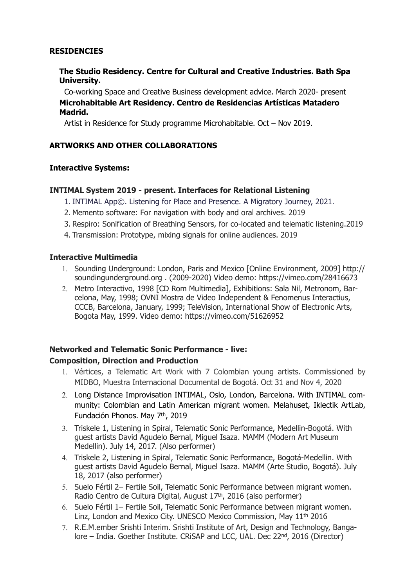### **RESIDENCIES**

### **The Studio Residency. Centre for Cultural and Creative Industries. Bath Spa University.**

Co-working Space and Creative Business development advice. March 2020- present **Microhabitable Art Residency. Centro de Residencias Artísticas Matadero Madrid.**

Artist in Residence for Study programme Microhabitable. Oct – Nov 2019.

### **ARTWORKS AND OTHER COLLABORATIONS**

### **Interactive Systems:**

### **INTIMAL System 2019 - present. Interfaces for Relational Listening**

- 1. INTIMAL App©. Listening for Place and Presence. A Migratory Journey, 2021.
- 2. Memento software: For navigation with body and oral archives. 2019
- 3. Respiro: Sonification of Breathing Sensors, for co-located and telematic listening.2019
- 4. Transmission: Prototype, mixing signals for online audiences. 2019

#### **Interactive Multimedia**

- 1. Sounding Underground: London, Paris and Mexico [Online Environment, 2009] http:// soundingunderground.org . (2009-2020) Video demo: https://vimeo.com/28416673
- 2. Metro Interactivo, 1998 [CD Rom Multimedia], Exhibitions: Sala Nil, Metronom, Barcelona, May, 1998; OVNI Mostra de Video Independent & Fenomenus Interactius, CCCB, Barcelona, January, 1999; TeleVision, International Show of Electronic Arts, Bogota May, 1999. Video demo: https://vimeo.com/51626952

# **Networked and Telematic Sonic Performance - live: Composition, Direction and Production**

- 1. Vértices, a Telematic Art Work with 7 Colombian young artists. Commissioned by MIDBO, Muestra Internacional Documental de Bogotá. Oct 31 and Nov 4, 2020
- 2. Long Distance Improvisation INTIMAL, Oslo, London, Barcelona. With INTIMAL community: Colombian and Latin American migrant women. Melahuset, Iklectik ArtLab, Fundación Phonos. May 7th, 2019
- 3. Triskele 1, Listening in Spiral, Telematic Sonic Performance, Medellin-Bogotá. With guest artists David Agudelo Bernal, Miguel Isaza. MAMM (Modern Art Museum Medellin). July 14, 2017. (Also performer)
- 4. Triskele 2, Listening in Spiral, Telematic Sonic Performance, Bogotá-Medellin. With guest artists David Agudelo Bernal, Miguel Isaza. MAMM (Arte Studio, Bogotá). July 18, 2017 (also performer)
- 5. Suelo Fértil 2– Fertile Soil, Telematic Sonic Performance between migrant women. Radio Centro de Cultura Digital, August 17th, 2016 (also performer)
- 6. Suelo Fértil 1– Fertile Soil, Telematic Sonic Performance between migrant women. Linz, London and Mexico City. UNESCO Mexico Commission, May 11th 2016
- 7. R.E.M.ember Srishti Interim. Srishti Institute of Art, Design and Technology, Bangalore – India. Goether Institute. CRiSAP and LCC, UAL. Dec 22<sup>nd</sup>, 2016 (Director)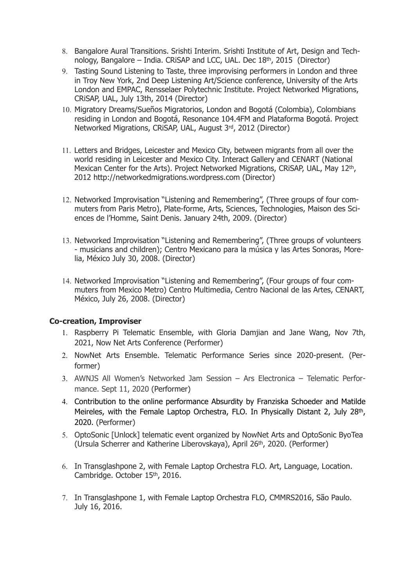- 8. Bangalore Aural Transitions. Srishti Interim. Srishti Institute of Art, Design and Technology, Bangalore – India. CRiSAP and LCC, UAL. Dec 18th, 2015 (Director)
- 9. Tasting Sound Listening to Taste, three improvising performers in London and three in Troy New York, 2nd Deep Listening Art/Science conference, University of the Arts London and EMPAC, Rensselaer Polytechnic Institute. Project Networked Migrations, CRiSAP, UAL, July 13th, 2014 (Director)
- 10. Migratory Dreams/Sueños Migratorios, London and Bogotá (Colombia), Colombians residing in London and Bogotá, Resonance 104.4FM and Plataforma Bogotá. Project Networked Migrations, CRiSAP, UAL, August 3rd, 2012 (Director)
- 11. Letters and Bridges, Leicester and Mexico City, between migrants from all over the world residing in Leicester and Mexico City. Interact Gallery and CENART (National Mexican Center for the Arts). Project Networked Migrations, CRiSAP, UAL, May 12th, 2012 http://networkedmigrations.wordpress.com (Director)
- 12. Networked Improvisation "Listening and Remembering", (Three groups of four commuters from Paris Metro), Plate-forme, Arts, Sciences, Technologies, Maison des Sciences de l'Homme, Saint Denis. January 24th, 2009. (Director)
- 13. Networked Improvisation "Listening and Remembering", (Three groups of volunteers - musicians and children); Centro Mexicano para la música y las Artes Sonoras, Morelia, México July 30, 2008. (Director)
- 14. Networked Improvisation "Listening and Remembering", (Four groups of four commuters from Mexico Metro) Centro Multimedia, Centro Nacional de las Artes, CENART, México, July 26, 2008. (Director)

#### **Co-creation, Improviser**

- 1. Raspberry Pi Telematic Ensemble, with Gloria Damjian and Jane Wang, Nov 7th, 2021, Now Net Arts Conference (Performer)
- 2. NowNet Arts Ensemble. Telematic Performance Series since 2020-present. (Performer)
- 3. AWNJS All Women's Networked Jam Session Ars Electronica Telematic Performance. Sept 11, 2020 (Performer)
- 4. Contribution to the online performance Absurdity by Franziska Schoeder and Matilde Meireles, with the Female Laptop Orchestra, FLO. In Physically Distant 2, July 28th, 2020. (Performer)
- 5. OptoSonic [Unlock] telematic event organized by NowNet Arts and OptoSonic ByoTea (Ursula Scherrer and Katherine Liberovskaya), April 26th, 2020. (Performer)
- 6. In Transglashpone 2, with Female Laptop Orchestra FLO. Art, Language, Location. Cambridge. October 15th, 2016.
- 7. In Transglashpone 1, with Female Laptop Orchestra FLO, CMMRS2016, São Paulo. July 16, 2016.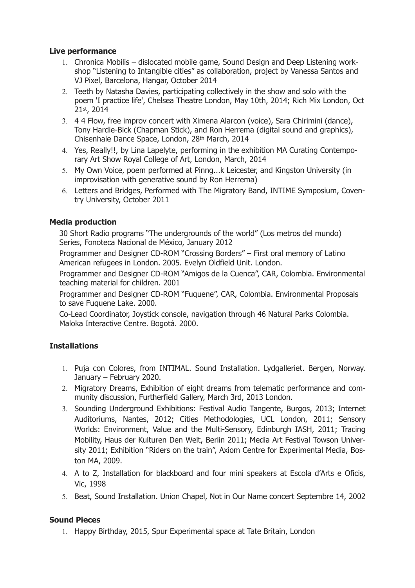### **Live performance**

- 1. Chronica Mobilis dislocated mobile game, Sound Design and Deep Listening workshop "Listening to Intangible cities" as collaboration, project by Vanessa Santos and VJ Pixel, Barcelona, Hangar, October 2014
- 2. Teeth by Natasha Davies, participating collectively in the show and solo with the poem 'I practice life', Chelsea Theatre London, May 10th, 2014; Rich Mix London, Oct 21st, 2014
- 3. 4 4 Flow, free improv concert with Ximena Alarcon (voice), Sara Chirimini (dance), Tony Hardie-Bick (Chapman Stick), and Ron Herrema (digital sound and graphics), Chisenhale Dance Space, London, 28th March, 2014
- 4. Yes, Really!!, by Lina Lapelyte, performing in the exhibition MA Curating Contemporary Art Show Royal College of Art, London, March, 2014
- 5. My Own Voice, poem performed at Pinng...k Leicester, and Kingston University (in improvisation with generative sound by Ron Herrema)
- 6. Letters and Bridges, Performed with The Migratory Band, INTIME Symposium, Coventry University, October 2011

### **Media production**

30 Short Radio programs "The undergrounds of the world" (Los metros del mundo) Series, Fonoteca Nacional de México, January 2012

Programmer and Designer CD-ROM "Crossing Borders" – First oral memory of Latino American refugees in London. 2005. Evelyn Oldfield Unit. London.

Programmer and Designer CD-ROM "Amigos de la Cuenca", CAR, Colombia. Environmental teaching material for children. 2001

Programmer and Designer CD-ROM "Fuquene", CAR, Colombia. Environmental Proposals to save Fuquene Lake. 2000.

Co-Lead Coordinator, Joystick console, navigation through 46 Natural Parks Colombia. Maloka Interactive Centre. Bogotá. 2000.

### **Installations**

- 1. Puja con Colores, from INTIMAL. Sound Installation. Lydgalleriet. Bergen, Norway. January – February 2020.
- 2. Migratory Dreams, Exhibition of eight dreams from telematic performance and community discussion, Furtherfield Gallery, March 3rd, 2013 London.
- 3. Sounding Underground Exhibitions: Festival Audio Tangente, Burgos, 2013; Internet Auditoriums, Nantes, 2012; Cities Methodologies, UCL London, 2011; Sensory Worlds: Environment, Value and the Multi-Sensory, Edinburgh IASH, 2011; Tracing Mobility, Haus der Kulturen Den Welt, Berlin 2011; Media Art Festival Towson University 2011; Exhibition "Riders on the train", Axiom Centre for Experimental Media, Boston MA, 2009.
- 4. A to Z, Installation for blackboard and four mini speakers at Escola d'Arts e Oficis, Vic, 1998
- 5. Beat, Sound Installation. Union Chapel, Not in Our Name concert Septembre 14, 2002

### **Sound Pieces**

1. Happy Birthday, 2015, Spur Experimental space at Tate Britain, London